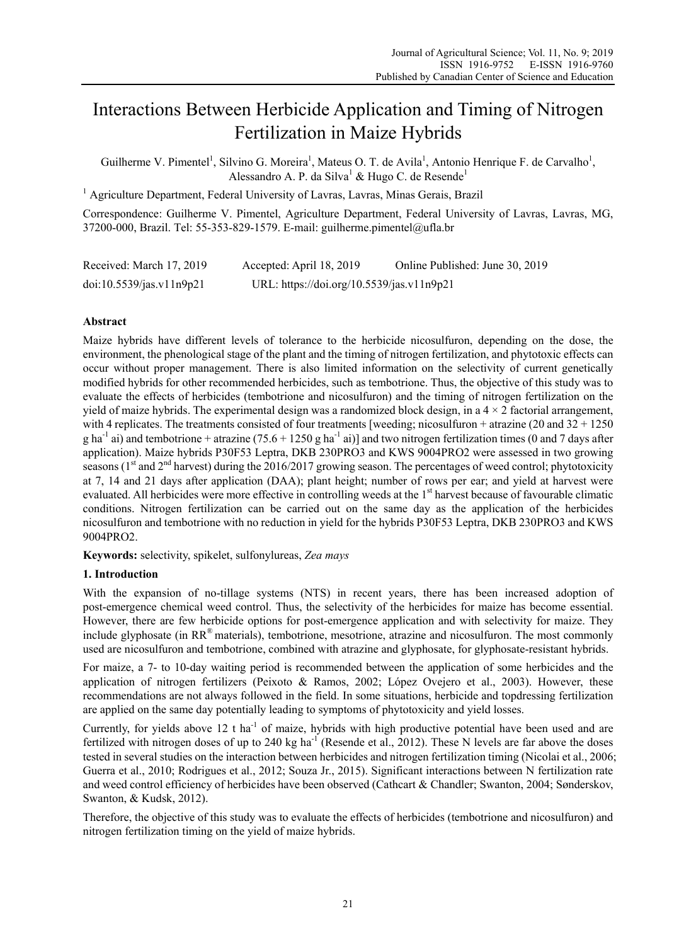# Interactions Between Herbicide Application and Timing of Nitrogen Fertilization in Maize Hybrids

Guilherme V. Pimentel<sup>1</sup>, Silvino G. Moreira<sup>1</sup>, Mateus O. T. de Avila<sup>1</sup>, Antonio Henrique F. de Carvalho<sup>1</sup>, Alessandro A. P. da Silva<sup>1</sup> & Hugo C. de Resende<sup>1</sup>

<sup>1</sup> Agriculture Department, Federal University of Lavras, Lavras, Minas Gerais, Brazil

Correspondence: Guilherme V. Pimentel, Agriculture Department, Federal University of Lavras, Lavras, MG, 37200-000, Brazil. Tel: 55-353-829-1579. E-mail: guilherme.pimentel@ufla.br

| Received: March 17, 2019 | Accepted: April 18, 2019                  | Online Published: June 30, 2019 |
|--------------------------|-------------------------------------------|---------------------------------|
| doi:10.5539/jas.v11n9p21 | URL: https://doi.org/10.5539/jas.v11n9p21 |                                 |

# **Abstract**

Maize hybrids have different levels of tolerance to the herbicide nicosulfuron, depending on the dose, the environment, the phenological stage of the plant and the timing of nitrogen fertilization, and phytotoxic effects can occur without proper management. There is also limited information on the selectivity of current genetically modified hybrids for other recommended herbicides, such as tembotrione. Thus, the objective of this study was to evaluate the effects of herbicides (tembotrione and nicosulfuron) and the timing of nitrogen fertilization on the yield of maize hybrids. The experimental design was a randomized block design, in a  $4 \times 2$  factorial arrangement, with 4 replicates. The treatments consisted of four treatments [weeding; nicosulfuron + atrazine (20 and  $32 + 1250$ ) g ha<sup>-1</sup> ai) and tembotrione + atrazine  $(75.6 + 1250$  g ha<sup>-1</sup> ai)] and two nitrogen fertilization times (0 and 7 days after application). Maize hybrids P30F53 Leptra, DKB 230PRO3 and KWS 9004PRO2 were assessed in two growing seasons ( $1<sup>st</sup>$  and  $2<sup>nd</sup>$  harvest) during the 2016/2017 growing season. The percentages of weed control; phytotoxicity at 7, 14 and 21 days after application (DAA); plant height; number of rows per ear; and yield at harvest were evaluated. All herbicides were more effective in controlling weeds at the 1<sup>st</sup> harvest because of favourable climatic conditions. Nitrogen fertilization can be carried out on the same day as the application of the herbicides nicosulfuron and tembotrione with no reduction in yield for the hybrids P30F53 Leptra, DKB 230PRO3 and KWS 9004PRO2.

**Keywords:** selectivity, spikelet, sulfonylureas, *Zea mays*

# **1. Introduction**

With the expansion of no-tillage systems (NTS) in recent years, there has been increased adoption of post-emergence chemical weed control. Thus, the selectivity of the herbicides for maize has become essential. However, there are few herbicide options for post-emergence application and with selectivity for maize. They include glyphosate (in RR® materials), tembotrione, mesotrione, atrazine and nicosulfuron. The most commonly used are nicosulfuron and tembotrione, combined with atrazine and glyphosate, for glyphosate-resistant hybrids.

For maize, a 7- to 10-day waiting period is recommended between the application of some herbicides and the application of nitrogen fertilizers (Peixoto & Ramos, 2002; López Ovejero et al., 2003). However, these recommendations are not always followed in the field. In some situations, herbicide and topdressing fertilization are applied on the same day potentially leading to symptoms of phytotoxicity and yield losses.

Currently, for yields above 12 t ha<sup>-1</sup> of maize, hybrids with high productive potential have been used and are fertilized with nitrogen doses of up to 240 kg ha<sup>-1</sup> (Resende et al., 2012). These N levels are far above the doses tested in several studies on the interaction between herbicides and nitrogen fertilization timing (Nicolai et al., 2006; Guerra et al., 2010; Rodrigues et al., 2012; Souza Jr., 2015). Significant interactions between N fertilization rate and weed control efficiency of herbicides have been observed (Cathcart & Chandler; Swanton, 2004; Sønderskov, Swanton, & Kudsk, 2012).

Therefore, the objective of this study was to evaluate the effects of herbicides (tembotrione and nicosulfuron) and nitrogen fertilization timing on the yield of maize hybrids.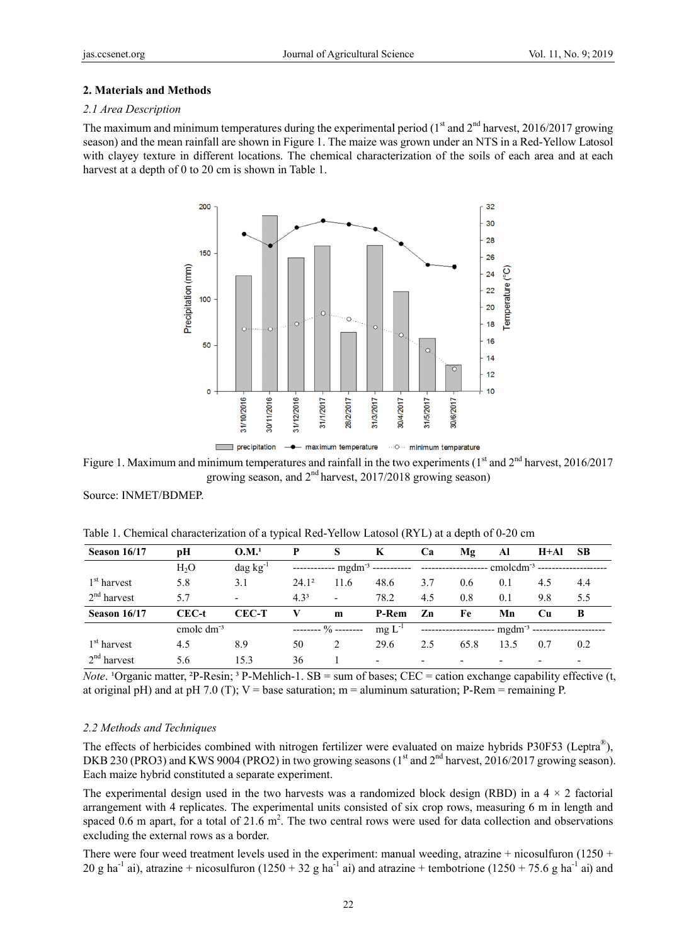### 2. Materials and Methods

#### 2.1 Area Description

The maximum and minimum temperatures during the experimental period  $(1<sup>st</sup>$  and  $2<sup>nd</sup>$  harvest, 2016/2017 growing season) and the mean rainfall are shown in Figure 1. The maize was grown under an NTS in a Red-Yellow Latosol with clayey texture in different locations. The chemical characterization of the soils of each area and at each harvest at a depth of 0 to 20 cm is shown in Table 1.



Figure 1. Maximum and minimum temperatures and rainfall in the two experiments  $(1<sup>st</sup>$  and  $2<sup>nd</sup>$  harvest, 2016/2017 growing season, and  $2<sup>nd</sup>$  harvest, 2017/2018 growing season)

Source: INMET/BDMEP.

| Season 16/17          | рH                    | O.M. <sup>1</sup>        | P                |                                 | K                                           | Ca  | Mg                       | Al             | H+Al                     | <b>SB</b> |
|-----------------------|-----------------------|--------------------------|------------------|---------------------------------|---------------------------------------------|-----|--------------------------|----------------|--------------------------|-----------|
|                       | H <sub>2</sub> O      | $\text{dag kg}^{-1}$     |                  |                                 | ------------ mgdm <sup>-3</sup> ----------- |     |                          | $cmolcdm-3$ -- |                          |           |
| $1st$ harvest         | 5.8                   | 3.1                      | $24.1^2$         | 11.6                            | 48.6                                        | 3.7 | 0.6                      | 0.1            | 4.5                      | 4.4       |
| $2nd$ harvest         | 5.7                   | $\overline{\phantom{0}}$ | 4.3 <sup>3</sup> | $\overline{\phantom{a}}$        | 78.2                                        | 4.5 | 0.8                      | 0.1            | 9.8                      | 5.5       |
| Season 16/17          | CEC-t                 | <b>CEC-T</b>             | V                | m                               | P-Rem                                       | Zn  | Fe                       | Mn             | €u                       | B         |
|                       | cmole dm <sup>3</sup> |                          |                  | -------- $\frac{0}{0}$ -------- | $mgL^{-1}$                                  |     |                          | $mgdm^{-3}$    |                          |           |
| $1st$ harvest         | 4.5                   | 8.9                      | 50               | 2                               | 29.6                                        | 2.5 | 65.8                     | 13.5           | 0.7                      | 0.2       |
| $2^{nd}$ }<br>harvest | 5.6                   | 15.3                     | 36               |                                 | $\overline{\phantom{a}}$                    | -   | $\overline{\phantom{0}}$ |                | $\overline{\phantom{0}}$ |           |

Table 1. Chemical characterization of a typical Red-Yellow Latosol (RYL) at a depth of 0-20 cm

*Note*. <sup>1</sup>Organic matter, <sup>2</sup>P-Resin; <sup>3</sup> P-Mehlich-1. SB = sum of bases; CEC = cation exchange capability effective (t, at original pH) and at pH 7.0 (T);  $V =$  base saturation;  $m =$  aluminum saturation; P-Rem = remaining P.

## 2.2 Methods and Techniques

The effects of herbicides combined with nitrogen fertilizer were evaluated on maize hybrids P30F53 (Leptra<sup>®</sup>), DKB 230 (PRO3) and KWS 9004 (PRO2) in two growing seasons (1<sup>st</sup> and 2<sup>nd</sup> harvest, 2016/2017 growing season). Each maize hybrid constituted a separate experiment.

The experimental design used in the two harvests was a randomized block design (RBD) in a  $4 \times 2$  factorial arrangement with 4 replicates. The experimental units consisted of six crop rows, measuring 6 m in length and spaced 0.6 m apart, for a total of 21.6  $m<sup>2</sup>$ . The two central rows were used for data collection and observations excluding the external rows as a border.

There were four weed treatment levels used in the experiment: manual weeding, atrazine  $+$  nicosulfuron (1250  $+$ 20 g ha<sup>-1</sup> ai), atrazine + nicosulfuron (1250 + 32 g ha<sup>-1</sup> ai) and atrazine + tembotrione (1250 + 75.6 g ha<sup>-1</sup> ai) and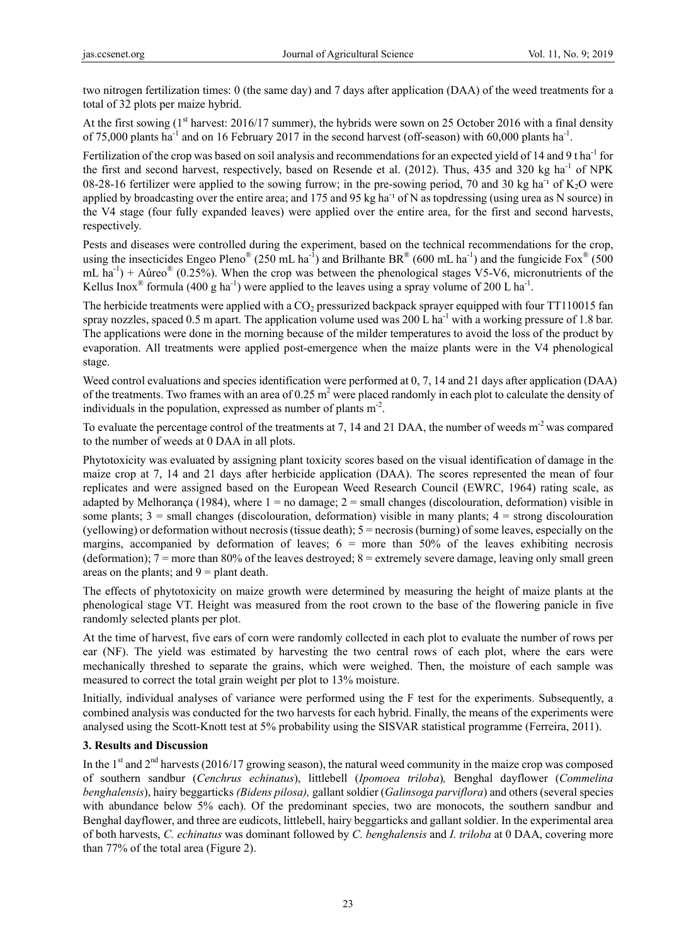two nitrogen fertilization times: 0 (the same day) and 7 days after application (DAA) of the weed treatments for a total of 32 plots per maize hybrid.

At the first sowing  $(1<sup>st</sup>$  harvest: 2016/17 summer), the hybrids were sown on 25 October 2016 with a final density of 75,000 plants ha<sup>-1</sup> and on 16 February 2017 in the second harvest (off-season) with 60,000 plants ha<sup>-1</sup>.

Fertilization of the crop was based on soil analysis and recommendations for an expected yield of 14 and 9 t ha<sup>-1</sup> for the first and second harvest, respectively, based on Resende et al.  $(2012)$ . Thus, 435 and 320 kg ha<sup>-1</sup> of NPK 08-28-16 fertilizer were applied to the sowing furrow; in the pre-sowing period, 70 and 30 kg ha<sup>-1</sup> of  $K_2O$  were applied by broadcasting over the entire area; and 175 and 95 kg ha<sup>-1</sup> of N as topdressing (using urea as N source) in the V4 stage (four fully expanded leaves) were applied over the entire area, for the first and second harvests, respectively.

Pests and diseases were controlled during the experiment, based on the technical recommendations for the crop, using the insecticides Engeo Pleno<sup>®</sup> (250 mL ha<sup>-1</sup>) and Brilhante BR<sup>®</sup> (600 mL ha<sup>-1</sup>) and the fungicide Fox<sup>®</sup> (500 mL ha<sup>-1</sup>) + Aúreo<sup>®</sup> (0.25%). When the crop was between the phenological stages V5-V6, micronutrients of the Kellus Inox<sup>®</sup> formula (400 g ha<sup>-1</sup>) were applied to the leaves using a spray volume of 200 L ha<sup>-1</sup>.

The herbicide treatments were applied with a CO<sub>2</sub> pressurized backpack sprayer equipped with four TT110015 fan spray nozzles, spaced 0.5 m apart. The application volume used was 200 L ha<sup>-1</sup> with a working pressure of 1.8 bar. The applications were done in the morning because of the milder temperatures to avoid the loss of the product by evaporation. All treatments were applied post-emergence when the maize plants were in the V4 phenological stage.

Weed control evaluations and species identification were performed at 0, 7, 14 and 21 days after application (DAA) of the treatments. Two frames with an area of 0.25  $m^2$  were placed randomly in each plot to calculate the density of individuals in the population, expressed as number of plants  $m<sup>2</sup>$ .

To evaluate the percentage control of the treatments at 7, 14 and 21 DAA, the number of weeds m<sup>-2</sup> was compared to the number of weeds at 0 DAA in all plots.

Phytotoxicity was evaluated by assigning plant toxicity scores based on the visual identification of damage in the maize crop at 7, 14 and 21 days after herbicide application (DAA). The scores represented the mean of four replicates and were assigned based on the European Weed Research Council (EWRC, 1964) rating scale, as adapted by Melhorança (1984), where  $1 =$  no damage;  $2 =$  small changes (discolouration, deformation) visible in some plants;  $3 = \text{small changes (discoluration, deformation) visible in many plants; } 4 = \text{strong discoluration}$ (yellowing) or deformation without necrosis (tissue death); 5 = necrosis (burning) of some leaves, especially on the margins, accompanied by deformation of leaves;  $6 =$  more than  $50\%$  of the leaves exhibiting necrosis (deformation);  $7 =$  more than 80% of the leaves destroyed;  $8 =$  extremely severe damage, leaving only small green areas on the plants; and  $9 =$  plant death.

The effects of phytotoxicity on maize growth were determined by measuring the height of maize plants at the phenological stage VT. Height was measured from the root crown to the base of the flowering panicle in five randomly selected plants per plot.

At the time of harvest, five ears of corn were randomly collected in each plot to evaluate the number of rows per ear (NF). The yield was estimated by harvesting the two central rows of each plot, where the ears were mechanically threshed to separate the grains, which were weighed. Then, the moisture of each sample was measured to correct the total grain weight per plot to 13% moisture.

Initially, individual analyses of variance were performed using the F test for the experiments. Subsequently, a combined analysis was conducted for the two harvests for each hybrid. Finally, the means of the experiments were analysed using the Scott-Knott test at 5% probability using the SISVAR statistical programme (Ferreira, 2011).

# **3. Results and Discussion**

In the 1<sup>st</sup> and  $2<sup>nd</sup>$  harvests (2016/17 growing season), the natural weed community in the maize crop was composed of southern sandbur (*Cenchrus echinatus*), littlebell (*Ipomoea triloba*)*,* Benghal dayflower (*Commelina benghalensis*), hairy beggarticks *(Bidens pilosa),* gallant soldier (*Galinsoga parviflora*) and others (several species with abundance below 5% each). Of the predominant species, two are monocots, the southern sandbur and Benghal dayflower, and three are eudicots, littlebell, hairy beggarticks and gallant soldier. In the experimental area of both harvests, *C. echinatus* was dominant followed by *C. benghalensis* and *I. triloba* at 0 DAA, covering more than 77% of the total area (Figure 2).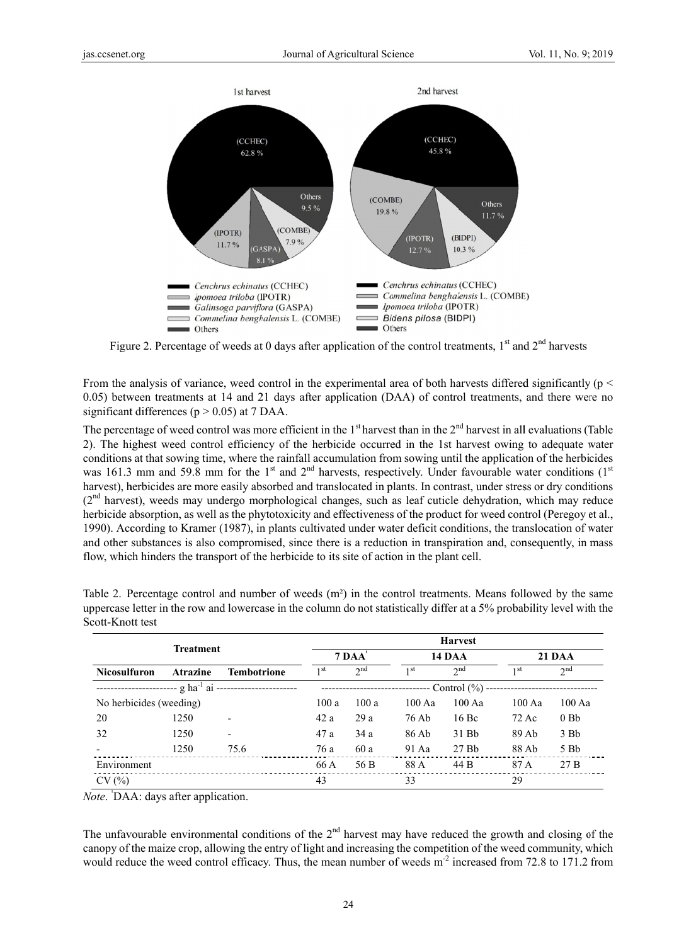

Figure 2. Percentage of weeds at 0 days after application of the control treatments,  $1<sup>st</sup>$  and  $2<sup>nd</sup>$  harvests

From the analysis of variance, weed control in the experimental area of both harvests differed significantly ( $p <$ 0.05) between treatments at 14 and 21 days after application (DAA) of control treatments, and there were no significant differences ( $p > 0.05$ ) at 7 DAA.

The percentage of weed control was more efficient in the 1<sup>st</sup> harvest than in the  $2<sup>nd</sup>$  harvest in all evaluations (Table 2). The highest weed control efficiency of the herbicide occurred in the 1st harvest owing to adequate water conditions at that sowing time, where the rainfall accumulation from sowing until the application of the herbicides was 161.3 mm and 59.8 mm for the 1<sup>st</sup> and 2<sup>nd</sup> harvests, respectively. Under favourable water conditions  $(1<sup>st</sup>$ harvest), herbicides are more easily absorbed and translocated in plants. In contrast, under stress or dry conditions  $(2<sup>nd</sup>$  harvest), weeds may undergo morphological changes, such as leaf cuticle dehydration, which may reduce herbicide absorption, as well as the phytotoxicity and effectiveness of the product for weed control (Peregoy et al., 1990). According to Kramer (1987), in plants cultivated under water deficit conditions, the translocation of water and other substances is also compromised, since there is a reduction in transpiration and, consequently, in mass flow, which hinders the transport of the herbicide to its site of action in the plant cell.

| <b>Treatment</b>        |                             | <b>Harvest</b>           |                 |             |                 |                   |                 |                  |  |
|-------------------------|-----------------------------|--------------------------|-----------------|-------------|-----------------|-------------------|-----------------|------------------|--|
|                         |                             | $7\,\mathrm{DAA}$        |                 |             | <b>14 DAA</b>   |                   | <b>21 DAA</b>   |                  |  |
| <b>Nicosulfuron</b>     | <b>Atrazine</b>             | <b>Tembotrione</b>       | 1 <sup>st</sup> | $\gamma$ nd | 1 <sup>st</sup> | $2^{nd}$          | 1 <sup>st</sup> | $\gamma$ nd      |  |
|                         | -- g ha <sup>-1</sup> ai -- |                          |                 |             |                 | Control $(\% )$ - |                 |                  |  |
| No herbicides (weeding) |                             |                          | 100a            | 100a        | 100Aa           | 100Aa             | 100Aa           | $100 \text{ Aa}$ |  |
| 20                      | 1250                        | $\overline{\phantom{0}}$ | 42 a            | 29a         | 76 Ab           | 16 Bc             | 72 Ac           | 0Bb              |  |
| 32                      | 1250                        | ٠                        | 47 a            | 34a         | 86 Ab           | 31 Bb             | 89 Ab           | $3$ Bb           |  |
|                         | 1250                        | 75.6                     | 76 a            | 60 a        | 91 Aa           | 27Bb              | 88 Ab           | 5 Bb             |  |
| Environment             |                             |                          | 66 A            | 56 B        | 88 A            | 44 B              | 87 A            | 27B              |  |
| CV(%)                   |                             |                          | 43              |             | 33              |                   | 29              |                  |  |

Table 2. Percentage control and number of weeds (m<sup>2</sup>) in the control treatments. Means followed by the same uppercase letter in the row and lowercase in the column do not statistically differ at a 5% probability level with the Scott-Knott test

*Note.* DAA: days after application.

The unfavourable environmental conditions of the  $2<sup>nd</sup>$  harvest may have reduced the growth and closing of the can opy of the maize crop, allowing the entry of light and increasing the competition of the weed community, which would reduce the weed control efficacy. Thus, the mean number of weeds m<sup>-2</sup> increased from 72.8 to 171.2 from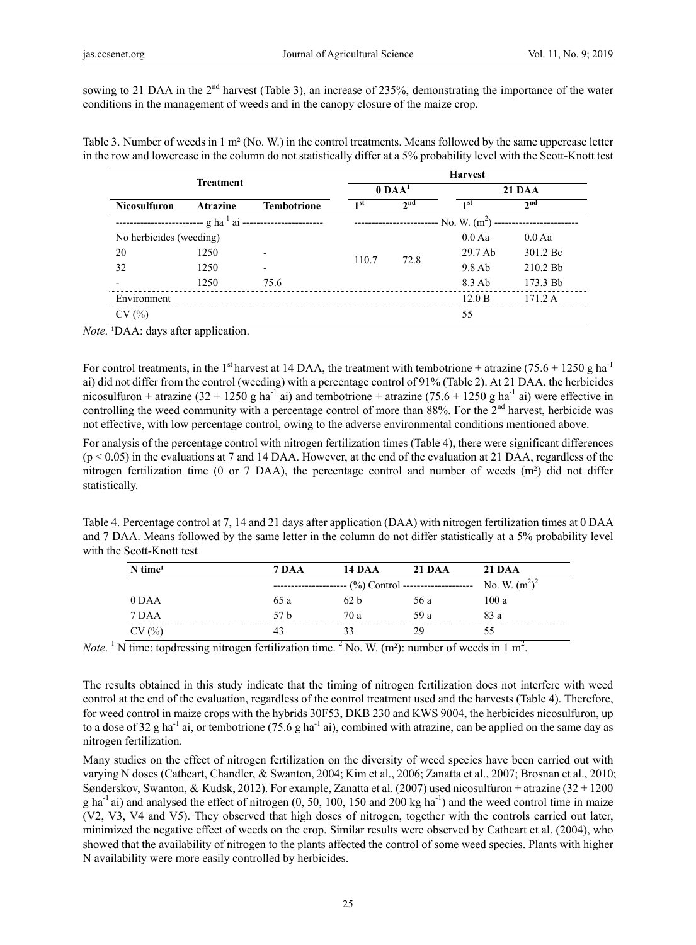sowing to 21 DAA in the  $2<sup>nd</sup>$  harvest (Table 3), an increase of 235%, demonstrating the importance of the water conditions in the management of weeds and in the canopy closure of the maize crop.

Table 3. Number of weeds in 1 m² (No. W.) in the control treatments. Means followed by the same uppercase letter in the row and lowercase in the column do not statistically differ at a 5% probability level with the Scott-Knott test

| <b>Treatment</b>                                     |                 |                          | <b>Harvest</b>     |                 |                 |                 |  |  |  |
|------------------------------------------------------|-----------------|--------------------------|--------------------|-----------------|-----------------|-----------------|--|--|--|
|                                                      |                 |                          |                    | $0$ DA $A1$     |                 | <b>21 DAA</b>   |  |  |  |
| <b>Nicosulfuron</b>                                  | <b>Atrazine</b> | <b>Tembotrione</b>       | 1 <sup>st</sup>    | 2 <sup>nd</sup> | 1 <sup>st</sup> | 2 <sub>nd</sub> |  |  |  |
| ---- g ha <sup>-1</sup> ai ------------------------- |                 |                          | $-$ No. W. $(m^2)$ |                 |                 |                 |  |  |  |
| No herbicides (weeding)                              |                 |                          |                    |                 | $0.0$ Aa        | $0.0$ Aa        |  |  |  |
| 20                                                   | 1250            | $\overline{\phantom{a}}$ | 110.7              | 72.8            | 29.7 Ab         | 301.2 Bc        |  |  |  |
| 32                                                   | 1250            | ٠                        |                    |                 | $9.8$ Ab        | $210.2$ Bb      |  |  |  |
|                                                      | 1250            | 75.6                     |                    |                 | 8.3 Ab          | 173.3 Bb        |  |  |  |
| Environment                                          |                 |                          |                    |                 | 12.0 B          | 171.2 A         |  |  |  |
| CV(%)                                                |                 |                          |                    |                 | 55              |                 |  |  |  |

*Note.* <sup>1</sup>DAA: days after application.

For control treatments, in the 1<sup>st</sup> harvest at 14 DAA, the treatment with tembotrione + atrazine (75.6 + 1250 g ha<sup>-1</sup>) ai) did not differ from the control (weeding) with a percentage control of 91% (Table 2). At 21 DAA, the herbicides nicosulfuron + atrazine (32 + 1250 g ha<sup>-1</sup> ai) and tembotrione + atrazine (75.6 + 1250 g ha<sup>-1</sup> ai) were effective in controlling the weed community with a percentage control of more than  $88\%$ . For the  $2<sup>nd</sup>$  harvest, herbicide was not effective, with low percentage control, owing to the adverse environmental conditions mentioned above.

For analysis of the percentage control with nitrogen fertilization times (Table 4), there were significant differences  $(p < 0.05)$  in the evaluations at 7 and 14 DAA. However, at the end of the evaluation at 21 DAA, regardless of the nitrogen fertilization time (0 or 7 DAA), the percentage control and number of weeds (m²) did not differ statistically.

Table 4. Percentage control at 7, 14 and 21 days after application (DAA) with nitrogen fertilization times at 0 DAA and 7 DAA. Means followed by the same letter in the column do not differ statistically at a 5% probability level with the Scott-Knott test

| $N$ time <sup>1</sup> | 7 DAA | <b>14 DAA</b>   | 21 DAA | 21 DAA           |
|-----------------------|-------|-----------------|--------|------------------|
|                       |       |                 |        | No. W. $(m^2)^2$ |
| 0 DAA                 | 65 a  | 62 <sub>b</sub> | 56 a   | 100a             |
| 7 DAA                 | 57 h  | 70 a            | 59 a   | 83 a             |
| CV(%)                 | 43    | 33              | 29     | 55               |

*Note*. <sup>1</sup> N time: topdressing nitrogen fertilization time. <sup>2</sup> No. W. (m<sup>2</sup>): number of weeds in 1 m<sup>2</sup>.

The results obtained in this study indicate that the timing of nitrogen fertilization does not interfere with weed control at the end of the evaluation, regardless of the control treatment used and the harvests (Table 4). Therefore, for weed control in maize crops with the hybrids 30F53, DKB 230 and KWS 9004, the herbicides nicosulfuron, up to a dose of 32 g ha<sup>-1</sup> ai, or tembotrione (75.6 g ha<sup>-1</sup> ai), combined with atrazine, can be applied on the same day as nitrogen fertilization.

Many studies on the effect of nitrogen fertilization on the diversity of weed species have been carried out with varying N doses (Cathcart, Chandler, & Swanton, 2004; Kim et al., 2006; Zanatta et al., 2007; Brosnan et al., 2010; Sønderskov, Swanton, & Kudsk, 2012). For example, Zanatta et al. (2007) used nicosulfuron + atrazine (32 + 1200 g ha<sup>-1</sup> ai) and analysed the effect of nitrogen (0, 50, 100, 150 and 200 kg ha<sup>-1</sup>) and the weed control time in maize (V2, V3, V4 and V5). They observed that high doses of nitrogen, together with the controls carried out later, minimized the negative effect of weeds on the crop. Similar results were observed by Cathcart et al. (2004), who showed that the availability of nitrogen to the plants affected the control of some weed species. Plants with higher N availability were more easily controlled by herbicides.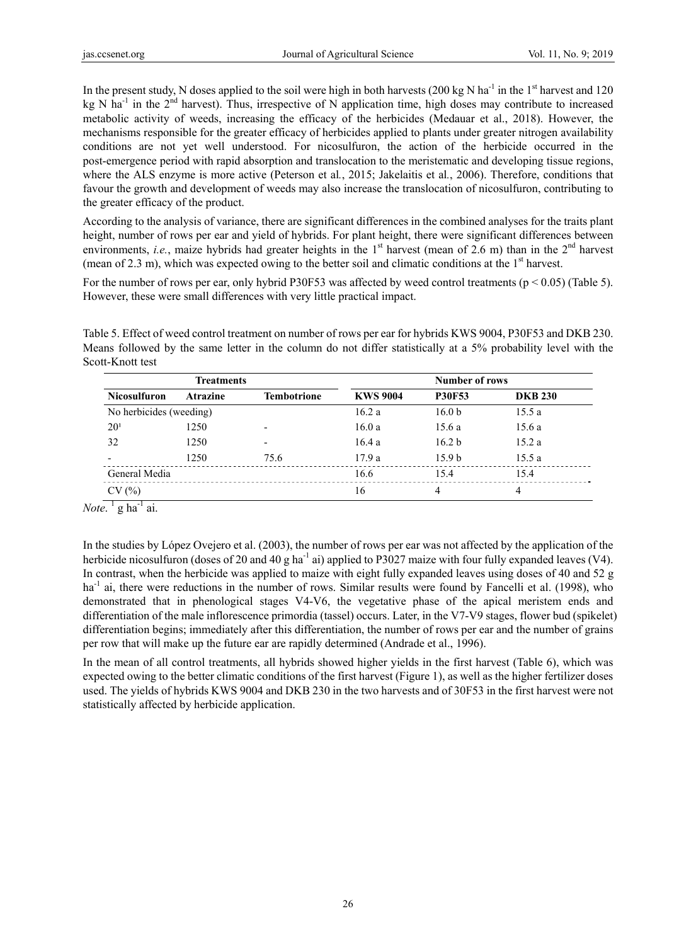In the present study, N doses applied to the soil were high in both harvests (200 kg N ha<sup>-1</sup> in the 1<sup>st</sup> harvest and 120 kg N ha<sup>-1</sup> in the  $2<sup>nd</sup>$  harvest). Thus, irrespective of N application time, high doses may contribute to increased metabolic activity of weeds, increasing the efficacy of the herbicides (Medauar et al., 2018). However, the mechanisms responsible for the greater efficacy of herbicides applied to plants under greater nitrogen availability conditions are not yet well understood. For nicosulfuron, the action of the herbicide occurred in the post-emergence period with rapid absorption and translocation to the meristematic and developing tissue regions, where the ALS enzyme is more active (Peterson et al*.*, 2015; Jakelaitis et al*.*, 2006). Therefore, conditions that favour the growth and development of weeds may also increase the translocation of nicosulfuron, contributing to the greater efficacy of the product.

According to the analysis of variance, there are significant differences in the combined analyses for the traits plant height, number of rows per ear and yield of hybrids. For plant height, there were significant differences between environments, *i.e.*, maize hybrids had greater heights in the 1<sup>st</sup> harvest (mean of 2.6 m) than in the 2<sup>nd</sup> harvest (mean of 2.3 m), which was expected owing to the better soil and climatic conditions at the  $1<sup>st</sup>$  harvest.

For the number of rows per ear, only hybrid P30F53 was affected by weed control treatments ( $p < 0.05$ ) (Table 5). However, these were small differences with very little practical impact.

Table 5. Effect of weed control treatment on number of rows per ear for hybrids KWS 9004, P30F53 and DKB 230. Means followed by the same letter in the column do not differ statistically at a 5% probability level with the Scott-Knott test

| <b>Treatments</b>       |                 |                          | <b>Number of rows</b> |                   |                |  |  |
|-------------------------|-----------------|--------------------------|-----------------------|-------------------|----------------|--|--|
| <b>Nicosulfuron</b>     | <b>Atrazine</b> | <b>Tembotrione</b>       | <b>KWS 9004</b>       | <b>P30F53</b>     | <b>DKB 230</b> |  |  |
| No herbicides (weeding) |                 |                          | 16.2a                 | 16.0 <sub>b</sub> | 15.5a          |  |  |
| $20^{1}$                | 1250            | $\overline{\phantom{0}}$ | 16.0a                 | 15.6a             | 15.6a          |  |  |
| 32                      | 1250            | $\overline{\phantom{0}}$ | 16.4a                 | 16.2 <sub>b</sub> | 15.2a          |  |  |
|                         | 1250            | 75.6                     | 17.9a                 | 15.9 <sub>b</sub> | 15.5a          |  |  |
| General Media           |                 |                          | 16.6                  | 15.4              | 15.4           |  |  |
| CV(%)                   |                 |                          | 16                    | 4                 | 4              |  |  |

*Note*. <sup>1</sup> g ha<sup>-1</sup> ai.

In the studies by López Ovejero et al. (2003), the number of rows per ear was not affected by the application of the herbicide nicosulfuron (doses of 20 and 40 g ha<sup>-1</sup> ai) applied to P3027 maize with four fully expanded leaves (V4). In contrast, when the herbicide was applied to maize with eight fully expanded leaves using doses of 40 and 52 g ha<sup>-1</sup> ai, there were reductions in the number of rows. Similar results were found by Fancelli et al. (1998), who demonstrated that in phenological stages V4-V6, the vegetative phase of the apical meristem ends and differentiation of the male inflorescence primordia (tassel) occurs. Later, in the V7-V9 stages, flower bud (spikelet) differentiation begins; immediately after this differentiation, the number of rows per ear and the number of grains per row that will make up the future ear are rapidly determined (Andrade et al., 1996).

In the mean of all control treatments, all hybrids showed higher yields in the first harvest (Table 6), which was expected owing to the better climatic conditions of the first harvest (Figure 1), as well as the higher fertilizer doses used. The yields of hybrids KWS 9004 and DKB 230 in the two harvests and of 30F53 in the first harvest were not statistically affected by herbicide application.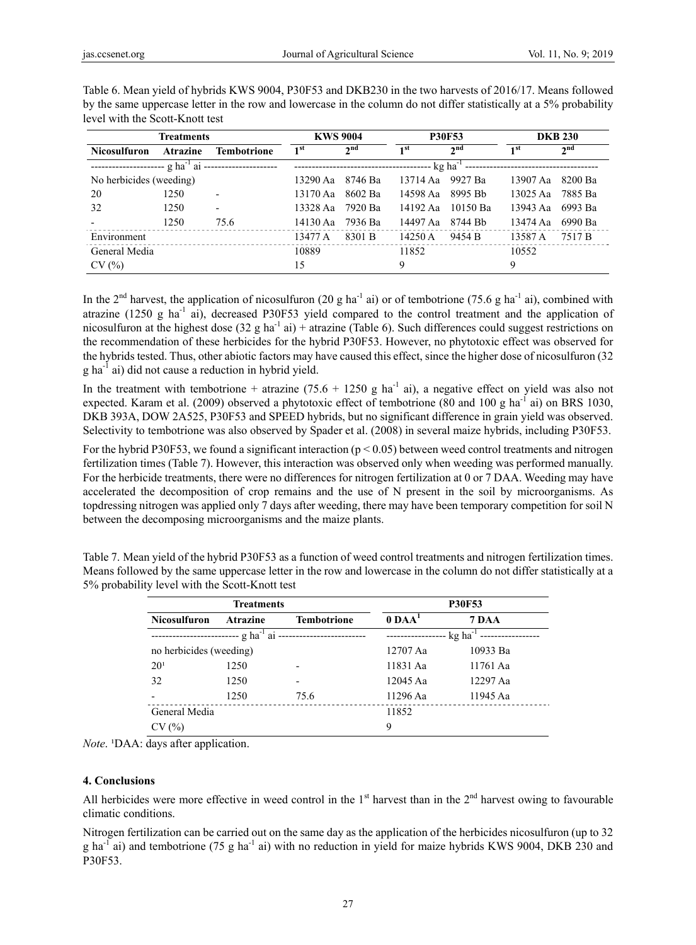| <b>Treatments</b>                            |                 | <b>KWS 9004</b>          |                 | <b>P30F53</b>   |                 | <b>DKB 230</b>        |          |                 |
|----------------------------------------------|-----------------|--------------------------|-----------------|-----------------|-----------------|-----------------------|----------|-----------------|
| <b>Nicosulfuron</b>                          | <b>Atrazine</b> | <b>Tembotrione</b>       | 1 <sup>st</sup> | 2 <sub>nd</sub> | 1 <sup>st</sup> | 2 <sub>nd</sub>       | 1 st     | 2 <sub>nd</sub> |
| ---------------------- g ha <sup>-1</sup> ai |                 |                          |                 |                 |                 | $kg$ ha <sup>-1</sup> |          |                 |
| No herbicides (weeding)                      |                 |                          | 13290 Aa        | 8746 Ba         | 13714 Aa        | 9927 Ba               | 13907 Aa | 8200 Ba         |
| 20                                           | 1250            | $\overline{\phantom{0}}$ | 13170 Aa        | 8602 Ba         | 14598 Aa        | 8995 Bb               | 13025 Aa | 7885 Ba         |
| 32                                           | 1250            | $\overline{\phantom{0}}$ | 13328 Aa        | 7920 Ba         | 14192 Aa        | 10150 Ba              | 13943 Aa | 6993 Ba         |
|                                              | 1250            | 75.6                     | 14130 Aa        | 7936 Ba         | 14497 Aa        | 8744 Bb               | 13474 Aa | 6990 Ba         |
| Environment                                  |                 |                          | 13477 A         | 8301 B          | 14250 A         | 9454 B                | 13587 A  | 7517 B          |
| General Media                                |                 |                          | 10889           |                 | 11852           |                       | 10552    |                 |
| CV(%)                                        |                 |                          | 15              |                 | 9               |                       | 9        |                 |

Table 6. Mean yield of hybrids KWS 9004, P30F53 and DKB230 in the two harvests of 2016/17. Means followed by the same uppercase letter in the row and lowercase in the column do not differ statistically at a 5% probability level with the Scott-Knott test

In the 2<sup>nd</sup> harvest, the application of nicosulfuron (20 g ha<sup>-1</sup> ai) or of tembotrione (75.6 g ha<sup>-1</sup> ai), combined with atrazine (1250 g ha-1 ai), decreased P30F53 yield compared to the control treatment and the application of nicosulfuron at the highest dose  $(32 \text{ g ha}^{-1} \text{ ai}) + \text{atrazine}$  (Table 6). Such differences could suggest restrictions on the recommendation of these herbicides for the hybrid P30F53. However, no phytotoxic effect was observed for the hybrids tested. Thus, other abiotic factors may have caused this effect, since the higher dose of nicosulfuron (32 g ha-1 ai) did not cause a reduction in hybrid yield.

In the treatment with tembotrione + atrazine  $(75.6 + 1250 g ha<sup>-1</sup> ai)$ , a negative effect on yield was also not expected. Karam et al. (2009) observed a phytotoxic effect of tembotrione (80 and 100 g ha<sup>-1</sup> ai) on BRS 1030, DKB 393A, DOW 2A525, P30F53 and SPEED hybrids, but no significant difference in grain yield was observed. Selectivity to tembotrione was also observed by Spader et al. (2008) in several maize hybrids, including P30F53.

For the hybrid P30F53, we found a significant interaction ( $p < 0.05$ ) between weed control treatments and nitrogen fertilization times (Table 7). However, this interaction was observed only when weeding was performed manually. For the herbicide treatments, there were no differences for nitrogen fertilization at 0 or 7 DAA. Weeding may have accelerated the decomposition of crop remains and the use of N present in the soil by microorganisms. As topdressing nitrogen was applied only 7 days after weeding, there may have been temporary competition for soil N between the decomposing microorganisms and the maize plants.

Table 7. Mean yield of the hybrid P30F53 as a function of weed control treatments and nitrogen fertilization times. Means followed by the same uppercase letter in the row and lowercase in the column do not differ statistically at a 5% probability level with the Scott-Knott test

|                         | <b>Treatments</b>                               | <b>P30F53</b>           |             |          |  |
|-------------------------|-------------------------------------------------|-------------------------|-------------|----------|--|
| <b>Nicosulfuron</b>     | <b>Atrazine</b>                                 | <b>Tembotrione</b>      | $0$ DA $A1$ | 7 DAA    |  |
|                         | g ha <sup>-1</sup> ai ------------------------- | $-$ kg ha <sup>-1</sup> |             |          |  |
| no herbicides (weeding) |                                                 |                         | 12707 Aa    | 10933 Ba |  |
| $20^{1}$                | 1250                                            |                         | 11831 Aa    | 11761 Aa |  |
| 32                      | 1250                                            |                         | 12045 Aa    | 12297 Aa |  |
|                         | 1250                                            | 75.6                    | 11296 Aa    | 11945 Aa |  |
| General Media           |                                                 |                         | 11852       |          |  |
| CV(%)                   |                                                 |                         | 9           |          |  |

*Note*. <sup>1</sup>DAA: days after application.

## **4. Conclusions**

All herbicides were more effective in weed control in the  $1<sup>st</sup>$  harvest than in the  $2<sup>nd</sup>$  harvest owing to favourable climatic conditions.

Nitrogen fertilization can be carried out on the same day as the application of the herbicides nicosulfuron (up to 32 g ha<sup>-1</sup> ai) and tembotrione (75 g ha<sup>-1</sup> ai) with no reduction in yield for maize hybrids KWS 9004, DKB 230 and P30F53.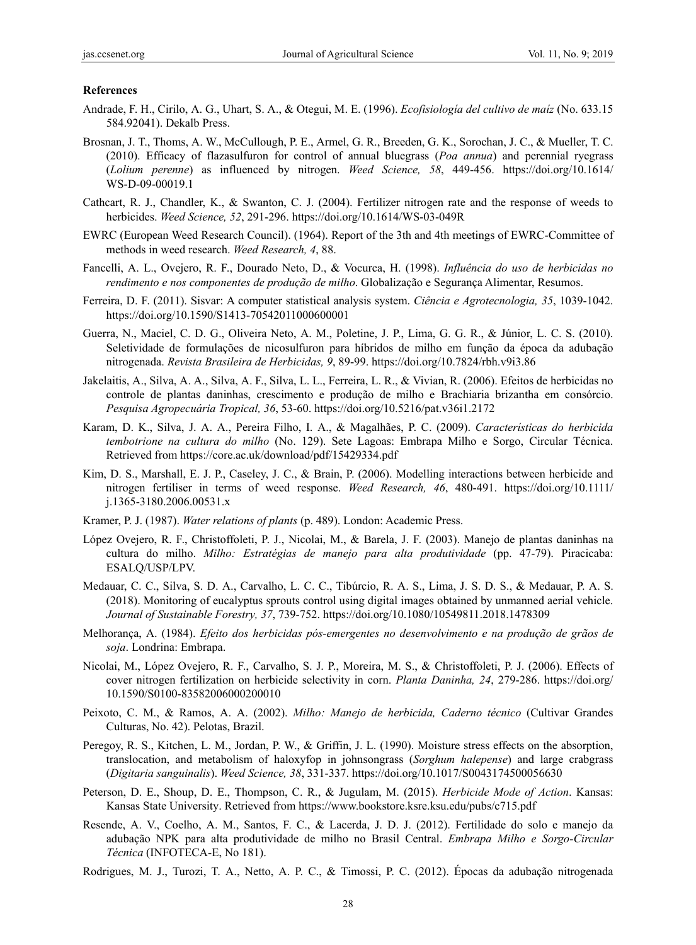### **References**

- Andrade, F. H., Cirilo, A. G., Uhart, S. A., & Otegui, M. E. (1996). *Ecofisiología del cultivo de maíz* (No. 633.15 584.92041). Dekalb Press.
- Brosnan, J. T., Thoms, A. W., McCullough, P. E., Armel, G. R., Breeden, G. K., Sorochan, J. C., & Mueller, T. C. (2010). Efficacy of flazasulfuron for control of annual bluegrass (*Poa annua*) and perennial ryegrass (*Lolium perenne*) as influenced by nitrogen. *Weed Science, 58*, 449-456. https://doi.org/10.1614/ WS-D-09-00019.1
- Cathcart, R. J., Chandler, K., & Swanton, C. J. (2004). Fertilizer nitrogen rate and the response of weeds to herbicides. *Weed Science, 52*, 291-296. https://doi.org/10.1614/WS-03-049R
- EWRC (European Weed Research Council). (1964). Report of the 3th and 4th meetings of EWRC-Committee of methods in weed research. *Weed Research, 4*, 88.
- Fancelli, A. L., Ovejero, R. F., Dourado Neto, D., & Vocurca, H. (1998). *Influência do uso de herbicidas no rendimento e nos componentes de produção de milho*. Globalização e Segurança Alimentar, Resumos.
- Ferreira, D. F. (2011). Sisvar: A computer statistical analysis system. *Ciência e Agrotecnologia, 35*, 1039-1042. https://doi.org/10.1590/S1413-70542011000600001
- Guerra, N., Maciel, C. D. G., Oliveira Neto, A. M., Poletine, J. P., Lima, G. G. R., & Júnior, L. C. S. (2010). Seletividade de formulações de nicosulfuron para híbridos de milho em função da época da adubação nitrogenada. *Revista Brasileira de Herbicidas, 9*, 89-99. https://doi.org/10.7824/rbh.v9i3.86
- Jakelaitis, A., Silva, A. A., Silva, A. F., Silva, L. L., Ferreira, L. R., & Vivian, R. (2006). Efeitos de herbicidas no controle de plantas daninhas, crescimento e produção de milho e Brachiaria brizantha em consórcio. *Pesquisa Agropecuária Tropical, 36*, 53-60. https://doi.org/10.5216/pat.v36i1.2172
- Karam, D. K., Silva, J. A. A., Pereira Filho, I. A., & Magalhães, P. C. (2009). *Características do herbicida tembotrione na cultura do milho* (No. 129). Sete Lagoas: Embrapa Milho e Sorgo, Circular Técnica. Retrieved from https://core.ac.uk/download/pdf/15429334.pdf
- Kim, D. S., Marshall, E. J. P., Caseley, J. C., & Brain, P. (2006). Modelling interactions between herbicide and nitrogen fertiliser in terms of weed response. *Weed Research, 46*, 480-491. https://doi.org/10.1111/ j.1365-3180.2006.00531.x
- Kramer, P. J. (1987). *Water relations of plants* (p. 489). London: Academic Press.
- López Ovejero, R. F., Christoffoleti, P. J., Nicolai, M., & Barela, J. F. (2003). Manejo de plantas daninhas na cultura do milho. *Milho: Estratégias de manejo para alta produtividade* (pp. 47-79). Piracicaba: ESALQ/USP/LPV.
- Medauar, C. C., Silva, S. D. A., Carvalho, L. C. C., Tibúrcio, R. A. S., Lima, J. S. D. S., & Medauar, P. A. S. (2018). Monitoring of eucalyptus sprouts control using digital images obtained by unmanned aerial vehicle. *Journal of Sustainable Forestry, 37*, 739-752. https://doi.org/10.1080/10549811.2018.1478309
- Melhorança, A. (1984). *Efeito dos herbicidas pós-emergentes no desenvolvimento e na produção de grãos de soja*. Londrina: Embrapa.
- Nicolai, M., López Ovejero, R. F., Carvalho, S. J. P., Moreira, M. S., & Christoffoleti, P. J. (2006). Effects of cover nitrogen fertilization on herbicide selectivity in corn. *Planta Daninha, 24*, 279-286. https://doi.org/ 10.1590/S0100-83582006000200010
- Peixoto, C. M., & Ramos, A. A. (2002). *Milho: Manejo de herbicida, Caderno técnico* (Cultivar Grandes Culturas, No. 42). Pelotas, Brazil.
- Peregoy, R. S., Kitchen, L. M., Jordan, P. W., & Griffin, J. L. (1990). Moisture stress effects on the absorption, translocation, and metabolism of haloxyfop in johnsongrass (*Sorghum halepense*) and large crabgrass (*Digitaria sanguinalis*). *Weed Science, 38*, 331-337. https://doi.org/10.1017/S0043174500056630
- Peterson, D. E., Shoup, D. E., Thompson, C. R., & Jugulam, M. (2015). *Herbicide Mode of Action*. Kansas: Kansas State University. Retrieved from https://www.bookstore.ksre.ksu.edu/pubs/c715.pdf
- Resende, A. V., Coelho, A. M., Santos, F. C., & Lacerda, J. D. J. (2012). Fertilidade do solo e manejo da adubação NPK para alta produtividade de milho no Brasil Central. *Embrapa Milho e Sorgo-Circular Técnica* (INFOTECA-E, No 181).
- Rodrigues, M. J., Turozi, T. A., Netto, A. P. C., & Timossi, P. C. (2012). Épocas da adubação nitrogenada